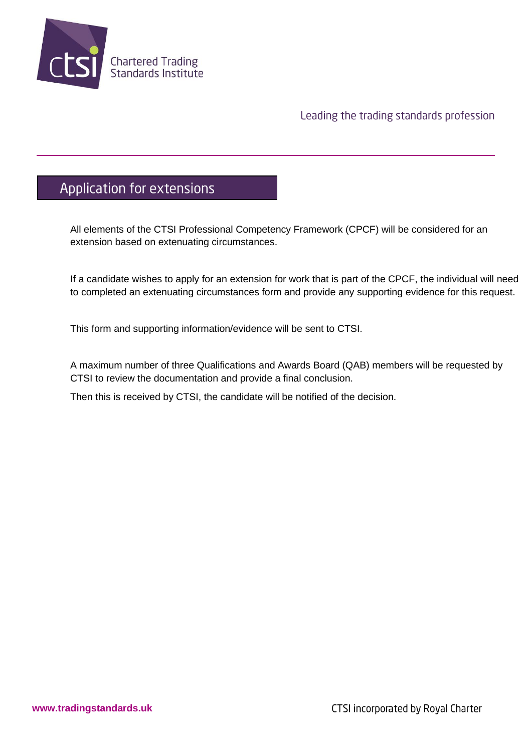

#### Leading the trading standards profession

# Application for extensions

All elements of the CTSI Professional Competency Framework (CPCF) will be considered for an extension based on extenuating circumstances.

If a candidate wishes to apply for an extension for work that is part of the CPCF, the individual will need to completed an extenuating circumstances form and provide any supporting evidence for this request.

This form and supporting information/evidence will be sent to CTSI.

A maximum number of three Qualifications and Awards Board (QAB) members will be requested by CTSI to review the documentation and provide a final conclusion.

Then this is received by CTSI, the candidate will be notified of the decision.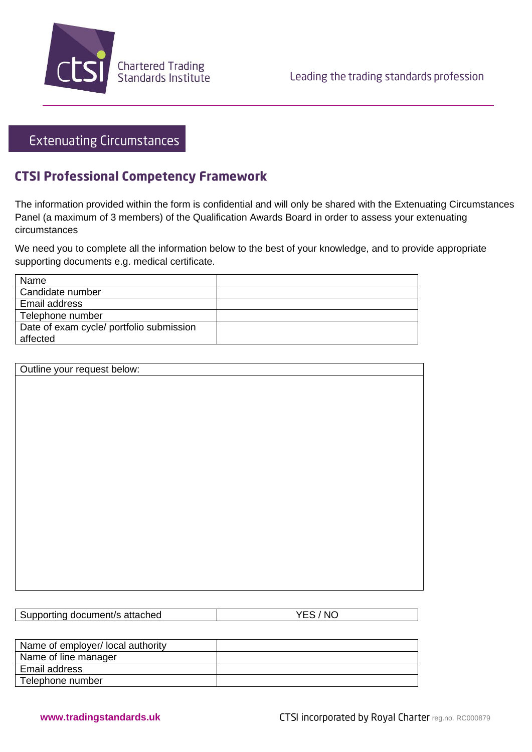

### **Extenuating Circumstances**

## **CTSI Professional Competency Framework**

The information provided within the form is confidential and will only be shared with the Extenuating Circumstances Panel (a maximum of 3 members) of the Qualification Awards Board in order to assess your extenuating circumstances

We need you to complete all the information below to the best of your knowledge, and to provide appropriate supporting documents e.g. medical certificate.

| Name                                     |  |
|------------------------------------------|--|
| Candidate number                         |  |
| Email address                            |  |
| Telephone number                         |  |
| Date of exam cycle/ portfolio submission |  |
| affected                                 |  |

| Outline your request below: |  |
|-----------------------------|--|
|                             |  |
|                             |  |
|                             |  |
|                             |  |
|                             |  |
|                             |  |
|                             |  |
|                             |  |
|                             |  |
|                             |  |
|                             |  |
|                             |  |
|                             |  |
|                             |  |
|                             |  |
|                             |  |

| Supporting document/s attached | YES / NO |
|--------------------------------|----------|
|--------------------------------|----------|

| Name of employer/ local authority |  |
|-----------------------------------|--|
| Name of line manager              |  |
| Email address                     |  |
| Telephone number                  |  |